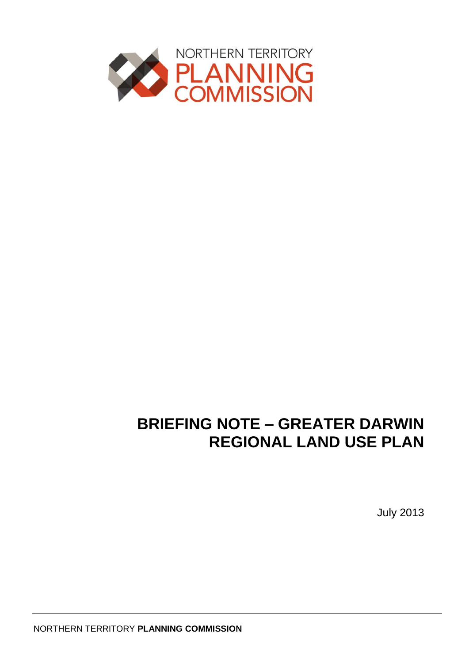

# **BRIEFING NOTE – GREATER DARWIN REGIONAL LAND USE PLAN**

July 2013

NORTHERN TERRITORY **PLANNING COMMISSION**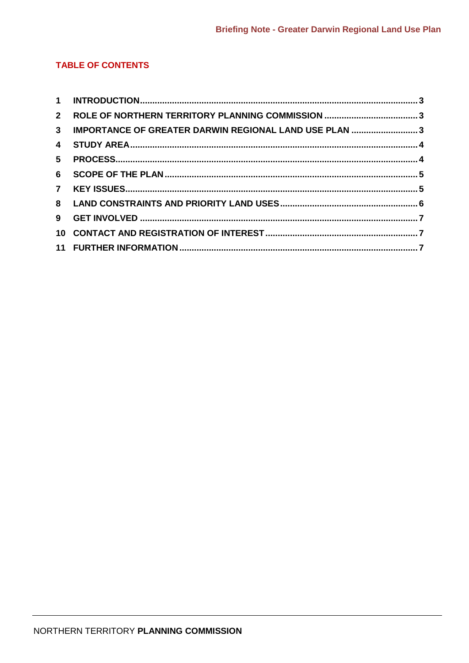#### **TABLE OF CONTENTS**

| 1 <sup>1</sup>          |                                                       |  |
|-------------------------|-------------------------------------------------------|--|
| $2^{\circ}$             |                                                       |  |
| $\mathbf{3}$            | IMPORTANCE OF GREATER DARWIN REGIONAL LAND USE PLAN 3 |  |
| $\overline{\mathbf{4}}$ |                                                       |  |
| 5                       |                                                       |  |
| 6                       |                                                       |  |
|                         |                                                       |  |
|                         |                                                       |  |
| 9                       |                                                       |  |
|                         |                                                       |  |
|                         |                                                       |  |
|                         |                                                       |  |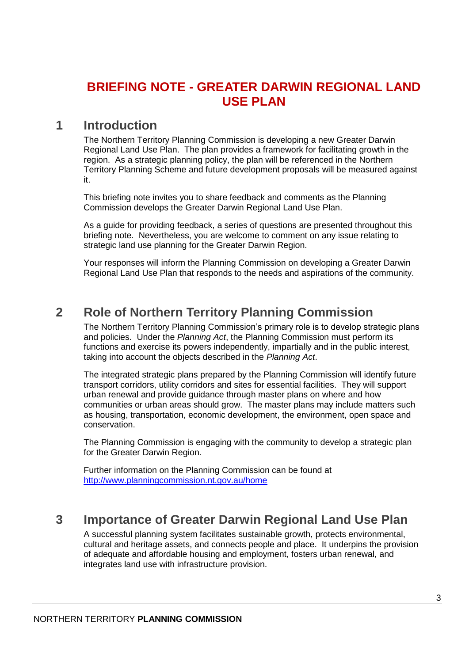# <span id="page-2-0"></span>**BRIEFING NOTE - GREATER DARWIN REGIONAL LAND USE PLAN**

### **1 Introduction**

The Northern Territory Planning Commission is developing a new Greater Darwin Regional Land Use Plan. The plan provides a framework for facilitating growth in the region. As a strategic planning policy, the plan will be referenced in the Northern Territory Planning Scheme and future development proposals will be measured against it.

This briefing note invites you to share feedback and comments as the Planning Commission develops the Greater Darwin Regional Land Use Plan.

As a guide for providing feedback, a series of questions are presented throughout this briefing note. Nevertheless, you are welcome to comment on any issue relating to strategic land use planning for the Greater Darwin Region.

Your responses will inform the Planning Commission on developing a Greater Darwin Regional Land Use Plan that responds to the needs and aspirations of the community.

# <span id="page-2-1"></span>**2 Role of Northern Territory Planning Commission**

The Northern Territory Planning Commission's primary role is to develop strategic plans and policies. Under the *Planning Act*, the Planning Commission must perform its functions and exercise its powers independently, impartially and in the public interest, taking into account the objects described in the *Planning Act*.

The integrated strategic plans prepared by the Planning Commission will identify future transport corridors, utility corridors and sites for essential facilities. They will support urban renewal and provide guidance through master plans on where and how communities or urban areas should grow. The master plans may include matters such as housing, transportation, economic development, the environment, open space and conservation.

The Planning Commission is engaging with the community to develop a strategic plan for the Greater Darwin Region.

Further information on the Planning Commission can be found at <http://www.planningcommission.nt.gov.au/home>

# <span id="page-2-2"></span>**3 Importance of Greater Darwin Regional Land Use Plan**

A successful planning system facilitates sustainable growth, protects environmental, cultural and heritage assets, and connects people and place. It underpins the provision of adequate and affordable housing and employment, fosters urban renewal, and integrates land use with infrastructure provision.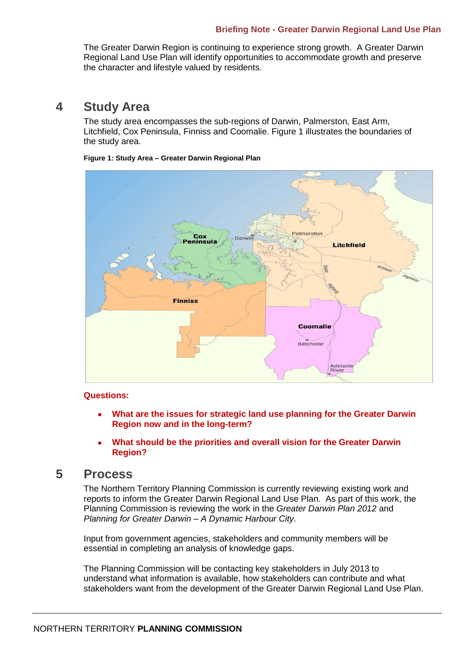#### **Briefing Note - Greater Darwin Regional Land Use Plan**

The Greater Darwin Region is continuing to experience strong growth. A Greater Darwin Regional Land Use Plan will identify opportunities to accommodate growth and preserve the character and lifestyle valued by residents.

### <span id="page-3-0"></span>**4 Study Area**

The study area encompasses the sub-regions of Darwin, Palmerston, East Arm, Litchfield, Cox Peninsula, Finniss and Coomalie. Figure 1 illustrates the boundaries of the study area.

#### **Figure 1: Study Area – Greater Darwin Regional Plan**



#### **Questions:**

- **What are the issues for strategic land use planning for the Greater Darwin Region now and in the long-term?**
- **What should be the priorities and overall vision for the Greater Darwin Region?**

### <span id="page-3-1"></span>**5 Process**

The Northern Territory Planning Commission is currently reviewing existing work and reports to inform the Greater Darwin Regional Land Use Plan. As part of this work, the Planning Commission is reviewing the work in the *Greater Darwin Plan 2012* and *Planning for Greater Darwin – A Dynamic Harbour City*.

Input from government agencies, stakeholders and community members will be essential in completing an analysis of knowledge gaps.

The Planning Commission will be contacting key stakeholders in July 2013 to understand what information is available, how stakeholders can contribute and what stakeholders want from the development of the Greater Darwin Regional Land Use Plan.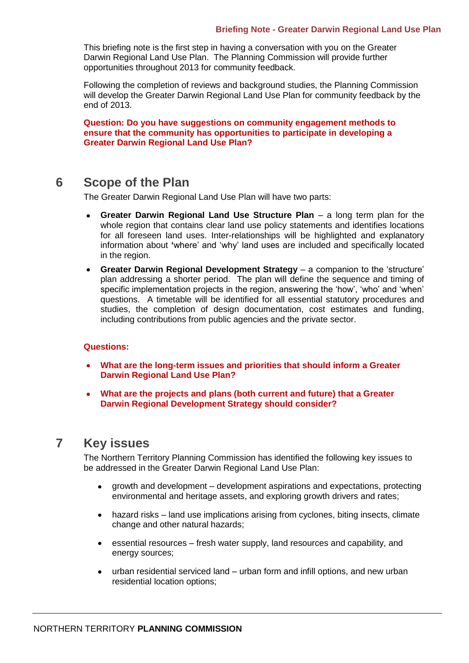#### **Briefing Note - Greater Darwin Regional Land Use Plan**

This briefing note is the first step in having a conversation with you on the Greater Darwin Regional Land Use Plan. The Planning Commission will provide further opportunities throughout 2013 for community feedback.

Following the completion of reviews and background studies, the Planning Commission will develop the Greater Darwin Regional Land Use Plan for community feedback by the end of 2013.

**Question: Do you have suggestions on community engagement methods to ensure that the community has opportunities to participate in developing a Greater Darwin Regional Land Use Plan?**

### <span id="page-4-0"></span>**6 Scope of the Plan**

The Greater Darwin Regional Land Use Plan will have two parts:

- **Greater Darwin Regional Land Use Structure Plan** a long term plan for the  $\bullet$ whole region that contains clear land use policy statements and identifies locations for all foreseen land uses. Inter-relationships will be highlighted and explanatory information about **'**where' and 'why' land uses are included and specifically located in the region.
- **Greater Darwin Regional Development Strategy** a companion to the 'structure' plan addressing a shorter period. The plan will define the sequence and timing of specific implementation projects in the region, answering the 'how', 'who' and 'when' questions. A timetable will be identified for all essential statutory procedures and studies, the completion of design documentation, cost estimates and funding, including contributions from public agencies and the private sector.

#### **Questions:**

- **What are the long-term issues and priorities that should inform a Greater Darwin Regional Land Use Plan?**
- **What are the projects and plans (both current and future) that a Greater Darwin Regional Development Strategy should consider?**

### <span id="page-4-1"></span>**7 Key issues**

The Northern Territory Planning Commission has identified the following key issues to be addressed in the Greater Darwin Regional Land Use Plan:

- growth and development development aspirations and expectations, protecting environmental and heritage assets, and exploring growth drivers and rates;
- hazard risks land use implications arising from cyclones, biting insects, climate  $\bullet$ change and other natural hazards;
- essential resources fresh water supply, land resources and capability, and energy sources;
- urban residential serviced land urban form and infill options, and new urban  $\bullet$ residential location options;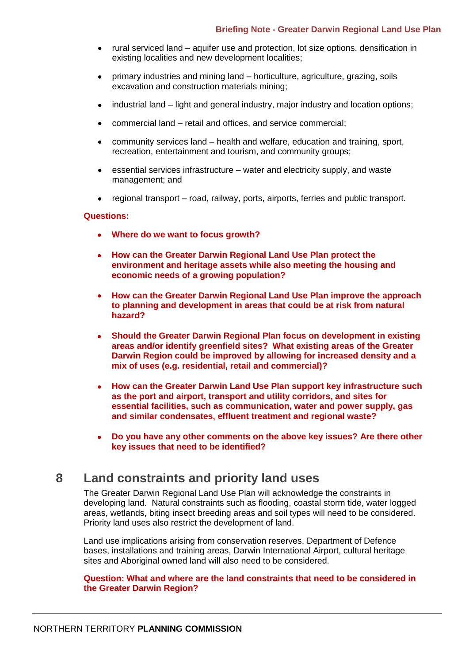- rural serviced land aquifer use and protection, lot size options, densification in existing localities and new development localities;
- primary industries and mining land horticulture, agriculture, grazing, soils  $\bullet$ excavation and construction materials mining;
- industrial land light and general industry, major industry and location options;
- commercial land retail and offices, and service commercial;
- community services land health and welfare, education and training, sport,  $\bullet$ recreation, entertainment and tourism, and community groups;
- essential services infrastructure water and electricity supply, and waste management; and
- regional transport road, railway, ports, airports, ferries and public transport.  $\bullet$

#### **Questions:**

- **Where do we want to focus growth?**
- **How can the Greater Darwin Regional Land Use Plan protect the environment and heritage assets while also meeting the housing and economic needs of a growing population?**
- $\bullet$ **How can the Greater Darwin Regional Land Use Plan improve the approach to planning and development in areas that could be at risk from natural hazard?**
- **Should the Greater Darwin Regional Plan focus on development in existing areas and/or identify greenfield sites? What existing areas of the Greater Darwin Region could be improved by allowing for increased density and a mix of uses (e.g. residential, retail and commercial)?**
- **How can the Greater Darwin Land Use Plan support key infrastructure such**   $\bullet$ **as the port and airport, transport and utility corridors, and sites for essential facilities, such as communication, water and power supply, gas and similar condensates, effluent treatment and regional waste?**
- **Do you have any other comments on the above key issues? Are there other key issues that need to be identified?**

# <span id="page-5-0"></span>**8 Land constraints and priority land uses**

The Greater Darwin Regional Land Use Plan will acknowledge the constraints in developing land. Natural constraints such as flooding, coastal storm tide, water logged areas, wetlands, biting insect breeding areas and soil types will need to be considered. Priority land uses also restrict the development of land.

Land use implications arising from conservation reserves, Department of Defence bases, installations and training areas, Darwin International Airport, cultural heritage sites and Aboriginal owned land will also need to be considered.

#### **Question: What and where are the land constraints that need to be considered in the Greater Darwin Region?**